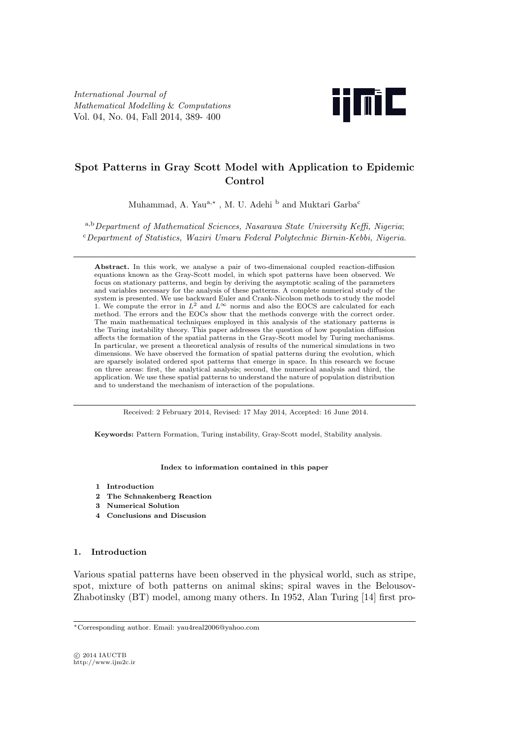

# **Spot Patterns in Gray Scott Model with Application to Epidemic Control**

Muhammad, A. Yau<sup>a,\*</sup>, M. U. Adehi <sup>b</sup> and Muktari Garba<sup>c</sup>

<sup>a</sup>*,*<sup>b</sup>*Department of Mathematical Sciences, Nasarawa State University Keffi, Nigeria*; <sup>c</sup>*Department of Statistics, Waziri Umaru Federal Polytechnic Birnin-Kebbi, Nigeria*.

**Abstract.** In this work, we analyse a pair of two-dimensional coupled reaction-diffusion equations known as the Gray-Scott model, in which spot patterns have been observed. We focus on stationary patterns, and begin by deriving the asymptotic scaling of the parameters and variables necessary for the analysis of these patterns. A complete numerical study of the system is presented. We use backward Euler and Crank-Nicolson methods to study the model 1. We compute the error in  $L^2$  and  $L^\infty$  norms and also the EOCS are calculated for each method. The errors and the EOCs show that the methods converge with the correct order. The main mathematical techniques employed in this analysis of the stationary patterns is the Turing instability theory. This paper addresses the question of how population diffusion affects the formation of the spatial patterns in the Gray-Scott model by Turing mechanisms. In particular, we present a theoretical analysis of results of the numerical simulations in two dimensions. We have observed the formation of spatial patterns during the evolution, which are sparsely isolated ordered spot patterns that emerge in space. In this research we focuse on three areas: first, the analytical analysis; second, the numerical analysis and third, the application. We use these spatial patterns to understand the nature of population distribution and to understand the mechanism of interaction of the populations.

Received: 2 February 2014, Revised: 17 May 2014, Accepted: 16 June 2014.

**Keywords:** Pattern Formation, Turing instability, Gray-Scott model, Stability analysis.

#### **Index to information contained in this paper**

- **1 Introduction**
- **2 The Schnakenberg Reaction**
- **3 Numerical Solution**
- **4 Conclusions and Discusion**

## **1. Introduction**

Various spatial patterns have been observed in the physical world, such as stripe, spot, mixture of both patterns on animal skins; spiral waves in the Belousov-Zhabotinsky (BT) model, among many others. In 1952, Alan Turing [14] first pro-

*⃝*c 2014 IAUCTB http://www.ijm2c.ir

*<sup>∗</sup>*Corresponding author. Email: yau4real2006@yahoo.com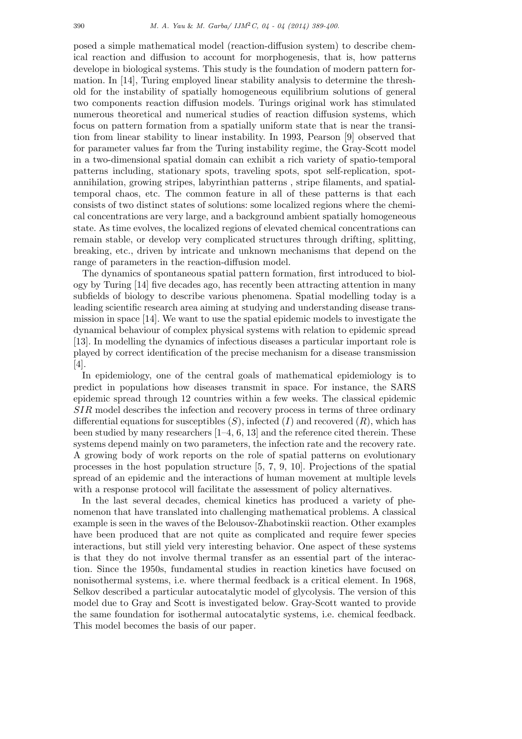posed a simple mathematical model (reaction-diffusion system) to describe chemical reaction and diffusion to account for morphogenesis, that is, how patterns develope in biological systems. This study is the foundation of modern pattern formation. In [14], Turing employed linear stability analysis to determine the threshold for the instability of spatially homogeneous equilibrium solutions of general two components reaction diffusion models. Turings original work has stimulated numerous theoretical and numerical studies of reaction diffusion systems, which focus on pattern formation from a spatially uniform state that is near the transition from linear stability to linear instability. In 1993, Pearson [9] observed that for parameter values far from the Turing instability regime, the Gray-Scott model in a two-dimensional spatial domain can exhibit a rich variety of spatio-temporal patterns including, stationary spots, traveling spots, spot self-replication, spotannihilation, growing stripes, labyrinthian patterns , stripe filaments, and spatialtemporal chaos, etc. The common feature in all of these patterns is that each consists of two distinct states of solutions: some localized regions where the chemical concentrations are very large, and a background ambient spatially homogeneous state. As time evolves, the localized regions of elevated chemical concentrations can remain stable, or develop very complicated structures through drifting, splitting, breaking, etc., driven by intricate and unknown mechanisms that depend on the range of parameters in the reaction-diffusion model.

The dynamics of spontaneous spatial pattern formation, first introduced to biology by Turing [14] five decades ago, has recently been attracting attention in many subfields of biology to describe various phenomena. Spatial modelling today is a leading scientific research area aiming at studying and understanding disease transmission in space [14]. We want to use the spatial epidemic models to investigate the dynamical behaviour of complex physical systems with relation to epidemic spread [13]. In modelling the dynamics of infectious diseases a particular important role is played by correct identification of the precise mechanism for a disease transmission [4].

In epidemiology, one of the central goals of mathematical epidemiology is to predict in populations how diseases transmit in space. For instance, the SARS epidemic spread through 12 countries within a few weeks. The classical epidemic *SIR* model describes the infection and recovery process in terms of three ordinary differential equations for susceptibles  $(S)$ , infected  $(I)$  and recovered  $(R)$ , which has been studied by many researchers [1–4, 6, 13] and the reference cited therein. These systems depend mainly on two parameters, the infection rate and the recovery rate. A growing body of work reports on the role of spatial patterns on evolutionary processes in the host population structure [5, 7, 9, 10]. Projections of the spatial spread of an epidemic and the interactions of human movement at multiple levels with a response protocol will facilitate the assessment of policy alternatives.

In the last several decades, chemical kinetics has produced a variety of phenomenon that have translated into challenging mathematical problems. A classical example is seen in the waves of the Belousov-Zhabotinskii reaction. Other examples have been produced that are not quite as complicated and require fewer species interactions, but still yield very interesting behavior. One aspect of these systems is that they do not involve thermal transfer as an essential part of the interaction. Since the 1950s, fundamental studies in reaction kinetics have focused on nonisothermal systems, i.e. where thermal feedback is a critical element. In 1968, Selkov described a particular autocatalytic model of glycolysis. The version of this model due to Gray and Scott is investigated below. Gray-Scott wanted to provide the same foundation for isothermal autocatalytic systems, i.e. chemical feedback. This model becomes the basis of our paper.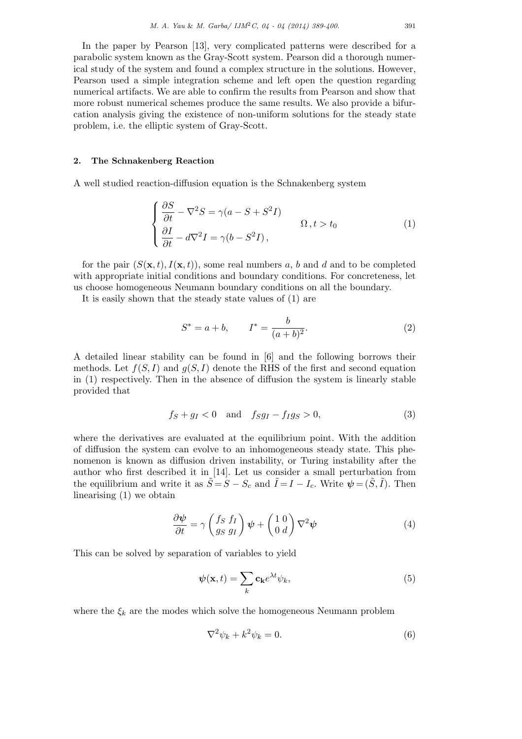In the paper by Pearson [13], very complicated patterns were described for a parabolic system known as the Gray-Scott system. Pearson did a thorough numerical study of the system and found a complex structure in the solutions. However, Pearson used a simple integration scheme and left open the question regarding numerical artifacts. We are able to confirm the results from Pearson and show that more robust numerical schemes produce the same results. We also provide a bifurcation analysis giving the existence of non-uniform solutions for the steady state problem, i.e. the elliptic system of Gray-Scott.

### **2. The Schnakenberg Reaction**

A well studied reaction-diffusion equation is the Schnakenberg system

$$
\begin{cases}\n\frac{\partial S}{\partial t} - \nabla^2 S = \gamma (a - S + S^2 I) & \Omega, t > t_0 \\
\frac{\partial I}{\partial t} - d \nabla^2 I = \gamma (b - S^2 I),\n\end{cases} (1)
$$

for the pair  $(S(\mathbf{x}, t), I(\mathbf{x}, t))$ , some real numbers a, b and d and to be completed with appropriate initial conditions and boundary conditions. For concreteness, let us choose homogeneous Neumann boundary conditions on all the boundary.

It is easily shown that the steady state values of (1) are

$$
S^* = a + b, \qquad I^* = \frac{b}{(a+b)^2}.
$$
 (2)

A detailed linear stability can be found in [6] and the following borrows their methods. Let  $f(S, I)$  and  $g(S, I)$  denote the RHS of the first and second equation in (1) respectively. Then in the absence of diffusion the system is linearly stable provided that

$$
f_S + g_I < 0 \quad \text{and} \quad f_S g_I - f_I g_S > 0,\tag{3}
$$

where the derivatives are evaluated at the equilibrium point. With the addition of diffusion the system can evolve to an inhomogeneous steady state. This phenomenon is known as diffusion driven instability, or Turing instability after the author who first described it in [14]. Let us consider a small perturbation from the equilibrium and write it as  $\tilde{S} = S - S_c$  and  $\tilde{I} = I - I_c$ . Write  $\psi = (\tilde{S}, \tilde{I})$ . Then linearising (1) we obtain

$$
\frac{\partial \psi}{\partial t} = \gamma \left( \frac{f_S f_I}{g_S g_I} \right) \psi + \left( \begin{array}{c} 1 & 0 \\ 0 & d \end{array} \right) \nabla^2 \psi \tag{4}
$$

This can be solved by separation of variables to yield

$$
\psi(\mathbf{x},t) = \sum_{k} \mathbf{c}_{k} e^{\lambda t} \psi_{k},\tag{5}
$$

where the  $\xi_k$  are the modes which solve the homogeneous Neumann problem

$$
\nabla^2 \psi_k + k^2 \psi_k = 0. \tag{6}
$$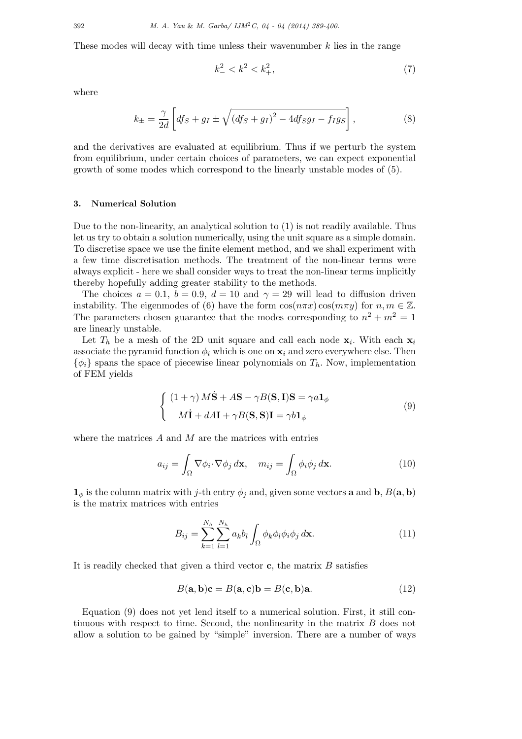These modes will decay with time unless their wavenumber *k* lies in the range

$$
k_-^2 < k^2 < k_+^2,\tag{7}
$$

where

$$
k_{\pm} = \frac{\gamma}{2d} \left[ df_S + g_I \pm \sqrt{\left( df_S + g_I \right)^2 - 4df_S g_I - f_I g_S} \right],\tag{8}
$$

and the derivatives are evaluated at equilibrium. Thus if we perturb the system from equilibrium, under certain choices of parameters, we can expect exponential growth of some modes which correspond to the linearly unstable modes of (5).

#### **3. Numerical Solution**

Due to the non-linearity, an analytical solution to (1) is not readily available. Thus let us try to obtain a solution numerically, using the unit square as a simple domain. To discretise space we use the finite element method, and we shall experiment with a few time discretisation methods. The treatment of the non-linear terms were always explicit - here we shall consider ways to treat the non-linear terms implicitly thereby hopefully adding greater stability to the methods.

The choices  $a = 0.1$ ,  $b = 0.9$ ,  $d = 10$  and  $\gamma = 29$  will lead to diffusion driven instability. The eigenmodes of (6) have the form  $\cos(n\pi x)\cos(m\pi y)$  for  $n, m \in \mathbb{Z}$ . The parameters chosen guarantee that the modes corresponding to  $n^2 + m^2 = 1$ are linearly unstable.

Let  $T_h$  be a mesh of the 2D unit square and call each node  $\mathbf{x}_i$ . With each  $\mathbf{x}_i$ associate the pyramid function  $\phi_i$  which is one on  $\mathbf{x}_i$  and zero everywhere else. Then  $\{\phi_i\}$  spans the space of piecewise linear polynomials on  $T_h$ . Now, implementation of FEM yields

$$
\begin{cases} (1+\gamma) M\dot{\mathbf{S}} + A\mathbf{S} - \gamma B(\mathbf{S}, \mathbf{I})\mathbf{S} = \gamma a\mathbf{1}_{\phi} \\ M\dot{\mathbf{I}} + dA\mathbf{I} + \gamma B(\mathbf{S}, \mathbf{S})\mathbf{I} = \gamma b\mathbf{1}_{\phi} \end{cases}
$$
(9)

where the matrices *A* and *M* are the matrices with entries

$$
a_{ij} = \int_{\Omega} \nabla \phi_i \cdot \nabla \phi_j \, d\mathbf{x}, \quad m_{ij} = \int_{\Omega} \phi_i \phi_j \, d\mathbf{x}.
$$
 (10)

**1**<sup> $\phi$ </sup> is the column matrix with *j*-th entry  $\phi_j$  and, given some vectors **a** and **b**, *B*(**a**, **b**) is the matrix matrices with entries

$$
B_{ij} = \sum_{k=1}^{N_h} \sum_{l=1}^{N_h} a_k b_l \int_{\Omega} \phi_k \phi_l \phi_i \phi_j d\mathbf{x}.
$$
 (11)

It is readily checked that given a third vector **c**, the matrix *B* satisfies

$$
B(\mathbf{a}, \mathbf{b})\mathbf{c} = B(\mathbf{a}, \mathbf{c})\mathbf{b} = B(\mathbf{c}, \mathbf{b})\mathbf{a}.\tag{12}
$$

Equation (9) does not yet lend itself to a numerical solution. First, it still continuous with respect to time. Second, the nonlinearity in the matrix *B* does not allow a solution to be gained by "simple" inversion. There are a number of ways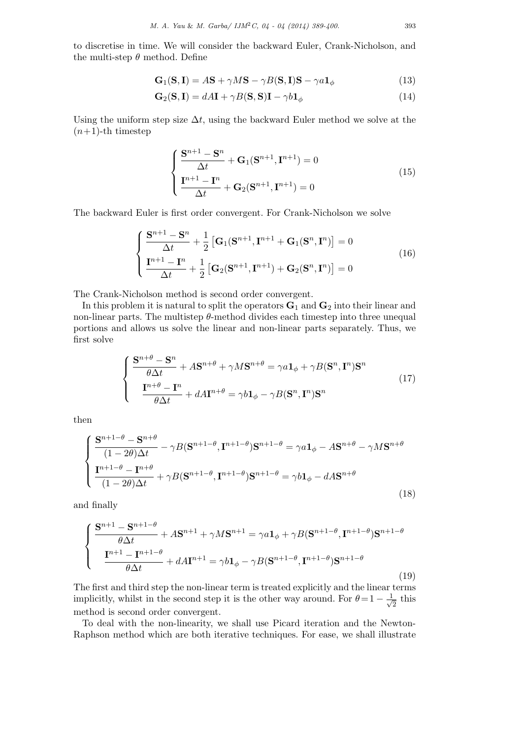to discretise in time. We will consider the backward Euler, Crank-Nicholson, and the multi-step *θ* method. Define

$$
\mathbf{G}_1(\mathbf{S}, \mathbf{I}) = A\mathbf{S} + \gamma M \mathbf{S} - \gamma B(\mathbf{S}, \mathbf{I})\mathbf{S} - \gamma a \mathbf{1}_{\phi}
$$
(13)

$$
\mathbf{G}_2(\mathbf{S}, \mathbf{I}) = dA\mathbf{I} + \gamma B(\mathbf{S}, \mathbf{S})\mathbf{I} - \gamma b\mathbf{1}_{\phi}
$$
(14)

Using the uniform step size  $\Delta t$ , using the backward Euler method we solve at the  $(n+1)$ -th timestep

$$
\begin{cases}\n\frac{\mathbf{S}^{n+1} - \mathbf{S}^n}{\Delta t} + \mathbf{G}_1(\mathbf{S}^{n+1}, \mathbf{I}^{n+1}) = 0\\ \n\frac{\mathbf{I}^{n+1} - \mathbf{I}^n}{\Delta t} + \mathbf{G}_2(\mathbf{S}^{n+1}, \mathbf{I}^{n+1}) = 0\n\end{cases}
$$
\n(15)

The backward Euler is first order convergent. For Crank-Nicholson we solve

$$
\begin{cases}\n\frac{\mathbf{S}^{n+1} - \mathbf{S}^n}{\Delta t} + \frac{1}{2} \left[ \mathbf{G}_1 (\mathbf{S}^{n+1}, \mathbf{I}^{n+1} + \mathbf{G}_1 (\mathbf{S}^n, \mathbf{I}^n) \right] = 0 \\
\frac{\mathbf{I}^{n+1} - \mathbf{I}^n}{\Delta t} + \frac{1}{2} \left[ \mathbf{G}_2 (\mathbf{S}^{n+1}, \mathbf{I}^{n+1}) + \mathbf{G}_2 (\mathbf{S}^n, \mathbf{I}^n) \right] = 0\n\end{cases}
$$
\n(16)

The Crank-Nicholson method is second order convergent.

In this problem it is natural to split the operators **G**<sup>1</sup> and **G**<sup>2</sup> into their linear and non-linear parts. The multistep  $\theta$ -method divides each timestep into three unequal portions and allows us solve the linear and non-linear parts separately. Thus, we first solve

$$
\begin{cases}\n\frac{\mathbf{S}^{n+\theta} - \mathbf{S}^n}{\theta \Delta t} + A \mathbf{S}^{n+\theta} + \gamma M \mathbf{S}^{n+\theta} = \gamma a \mathbf{1}_{\phi} + \gamma B (\mathbf{S}^n, \mathbf{I}^n) \mathbf{S}^n \\
\frac{\mathbf{I}^{n+\theta} - \mathbf{I}^n}{\theta \Delta t} + dA \mathbf{I}^{n+\theta} = \gamma b \mathbf{1}_{\phi} - \gamma B (\mathbf{S}^n, \mathbf{I}^n) \mathbf{S}^n\n\end{cases}
$$
\n(17)

then

$$
\begin{cases}\n\frac{\mathbf{S}^{n+1-\theta} - \mathbf{S}^{n+\theta}}{(1-2\theta)\Delta t} - \gamma B(\mathbf{S}^{n+1-\theta}, \mathbf{I}^{n+1-\theta})\mathbf{S}^{n+1-\theta} = \gamma a \mathbf{1}_{\phi} - A\mathbf{S}^{n+\theta} - \gamma M \mathbf{S}^{n+\theta} \\
\frac{\mathbf{I}^{n+1-\theta} - \mathbf{I}^{n+\theta}}{(1-2\theta)\Delta t} + \gamma B(\mathbf{S}^{n+1-\theta}, \mathbf{I}^{n+1-\theta})\mathbf{S}^{n+1-\theta} = \gamma b \mathbf{1}_{\phi} - dA \mathbf{S}^{n+\theta}\n\end{cases} (18)
$$

and finally

$$
\begin{cases}\n\frac{\mathbf{S}^{n+1} - \mathbf{S}^{n+1-\theta}}{\theta \Delta t} + A\mathbf{S}^{n+1} + \gamma M \mathbf{S}^{n+1} = \gamma a \mathbf{1}_{\phi} + \gamma B (\mathbf{S}^{n+1-\theta}, \mathbf{I}^{n+1-\theta}) \mathbf{S}^{n+1-\theta} \\
\frac{\mathbf{I}^{n+1} - \mathbf{I}^{n+1-\theta}}{\theta \Delta t} + dA \mathbf{I}^{n+1} = \gamma b \mathbf{1}_{\phi} - \gamma B (\mathbf{S}^{n+1-\theta}, \mathbf{I}^{n+1-\theta}) \mathbf{S}^{n+1-\theta}\n\end{cases}
$$
\n(19)

The first and third step the non-linear term is treated explicitly and the linear terms implicitly, whilst in the second step it is the other way around. For  $\theta = 1 - \frac{1}{\sqrt{2}}$  $\frac{1}{2}$  this method is second order convergent.

To deal with the non-linearity, we shall use Picard iteration and the Newton-Raphson method which are both iterative techniques. For ease, we shall illustrate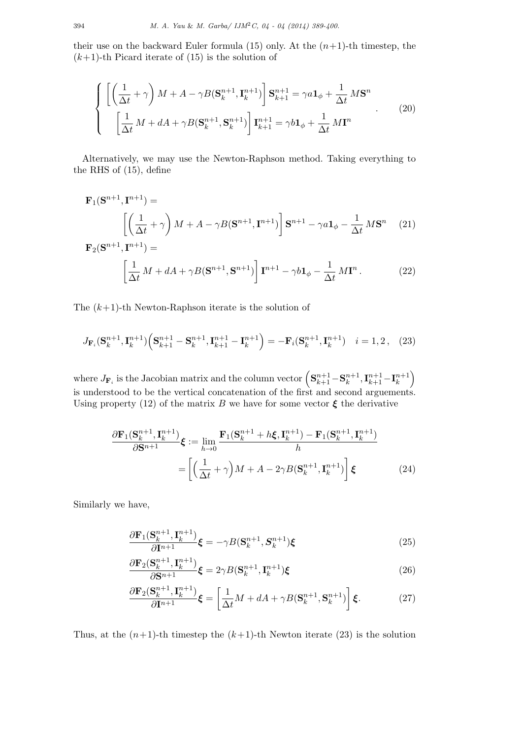their use on the backward Euler formula  $(15)$  only. At the  $(n+1)$ -th timestep, the  $(k+1)$ -th Picard iterate of  $(15)$  is the solution of

$$
\begin{cases}\n\left[\left(\frac{1}{\Delta t} + \gamma\right)M + A - \gamma B(\mathbf{S}_k^{n+1}, \mathbf{I}_k^{n+1})\right] \mathbf{S}_{k+1}^{n+1} = \gamma a \mathbf{1}_{\phi} + \frac{1}{\Delta t} M \mathbf{S}^n \\
\left[\frac{1}{\Delta t} M + dA + \gamma B(\mathbf{S}_k^{n+1}, \mathbf{S}_k^{n+1})\right] \mathbf{I}_{k+1}^{n+1} = \gamma b \mathbf{1}_{\phi} + \frac{1}{\Delta t} M \mathbf{I}^n\n\end{cases} (20)
$$

Alternatively, we may use the Newton-Raphson method. Taking everything to the RHS of (15), define

$$
\mathbf{F}_{1}(\mathbf{S}^{n+1}, \mathbf{I}^{n+1}) =
$$
\n
$$
\left[ \left( \frac{1}{\Delta t} + \gamma \right) M + A - \gamma B(\mathbf{S}^{n+1}, \mathbf{I}^{n+1}) \right] \mathbf{S}^{n+1} - \gamma a \mathbf{1}_{\phi} - \frac{1}{\Delta t} M \mathbf{S}^{n} \tag{21}
$$
\n
$$
\mathbf{F}_{2}(\mathbf{S}^{n+1}, \mathbf{I}^{n+1}) =
$$
\n
$$
\left[ \frac{1}{\Delta t} M + dA + \gamma B(\mathbf{S}^{n+1}, \mathbf{S}^{n+1}) \right] \mathbf{I}^{n+1} - \gamma b \mathbf{1}_{\phi} - \frac{1}{\Delta t} M \mathbf{I}^{n} . \tag{22}
$$

The (*k*+1)-th Newton-Raphson iterate is the solution of

$$
J_{\mathbf{F}_i}(\mathbf{S}_k^{n+1}, \mathbf{I}_k^{n+1}) \Big(\mathbf{S}_{k+1}^{n+1} - \mathbf{S}_k^{n+1}, \mathbf{I}_{k+1}^{n+1} - \mathbf{I}_k^{n+1}\Big) = -\mathbf{F}_i(\mathbf{S}_k^{n+1}, \mathbf{I}_k^{n+1}) \quad i = 1, 2, \quad (23)
$$

where  $J_{\mathbf{F}_i}$  is the Jacobian matrix and the column vector  $\left(\mathbf{S}_{k+1}^{n+1}-\mathbf{S}_{k}^{n+1}\right)$  $n+1$ ,  $\mathbf{I}_{k+1}^{n+1} - \mathbf{I}_{k}^{n+1}$ *k*  $\setminus$ is understood to be the vertical concatenation of the first and second arguements. Using property (12) of the matrix *B* we have for some vector  $\xi$  the derivative

$$
\frac{\partial \mathbf{F}_1(\mathbf{S}_k^{n+1}, \mathbf{I}_k^{n+1})}{\partial \mathbf{S}^{n+1}} \boldsymbol{\xi} := \lim_{h \to 0} \frac{\mathbf{F}_1(\mathbf{S}_k^{n+1} + h\boldsymbol{\xi}, \mathbf{I}_k^{n+1}) - \mathbf{F}_1(\mathbf{S}_k^{n+1}, \mathbf{I}_k^{n+1})}{h}
$$
\n
$$
= \left[ \left( \frac{1}{\Delta t} + \gamma \right) M + A - 2\gamma B(\mathbf{S}_k^{n+1}, \mathbf{I}_k^{n+1}) \right] \boldsymbol{\xi} \tag{24}
$$

Similarly we have,

$$
\frac{\partial \mathbf{F}_1(\mathbf{S}_k^{n+1}, \mathbf{I}_k^{n+1})}{\partial \mathbf{I}^{n+1}} \boldsymbol{\xi} = -\gamma B(\mathbf{S}_k^{n+1}, \mathbf{S}_k^{n+1}) \boldsymbol{\xi}
$$
\n(25)

$$
\frac{\partial \mathbf{F}_2(\mathbf{S}_k^{n+1}, \mathbf{I}_k^{n+1})}{\partial \mathbf{S}^{n+1}} \boldsymbol{\xi} = 2\gamma B(\mathbf{S}_k^{n+1}, \mathbf{I}_k^{n+1}) \boldsymbol{\xi}
$$
\n(26)

$$
\frac{\partial \mathbf{F}_2(\mathbf{S}_k^{n+1}, \mathbf{I}_k^{n+1})}{\partial \mathbf{I}^{n+1}} \boldsymbol{\xi} = \left[ \frac{1}{\Delta t} M + dA + \gamma B(\mathbf{S}_k^{n+1}, \mathbf{S}_k^{n+1}) \right] \boldsymbol{\xi}.
$$
 (27)

Thus, at the  $(n+1)$ -th timestep the  $(k+1)$ -th Newton iterate (23) is the solution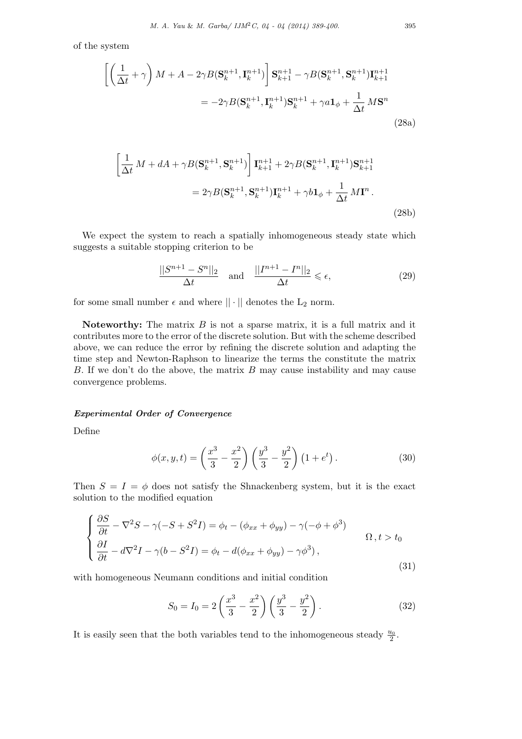of the system

$$
\left[\left(\frac{1}{\Delta t} + \gamma\right)M + A - 2\gamma B(\mathbf{S}_k^{n+1}, \mathbf{I}_k^{n+1})\right] \mathbf{S}_{k+1}^{n+1} - \gamma B(\mathbf{S}_k^{n+1}, \mathbf{S}_k^{n+1}) \mathbf{I}_{k+1}^{n+1}
$$

$$
= -2\gamma B(\mathbf{S}_k^{n+1}, \mathbf{I}_k^{n+1}) \mathbf{S}_k^{n+1} + \gamma a \mathbf{1}_{\phi} + \frac{1}{\Delta t} M \mathbf{S}^n
$$
(28a)

$$
\left[\frac{1}{\Delta t} M + dA + \gamma B(\mathbf{S}_k^{n+1}, \mathbf{S}_k^{n+1})\right] \mathbf{I}_{k+1}^{n+1} + 2\gamma B(\mathbf{S}_k^{n+1}, \mathbf{I}_k^{n+1}) \mathbf{S}_{k+1}^{n+1}
$$

$$
= 2\gamma B(\mathbf{S}_k^{n+1}, \mathbf{S}_k^{n+1}) \mathbf{I}_k^{n+1} + \gamma b \mathbf{1}_{\phi} + \frac{1}{\Delta t} M \mathbf{I}^n.
$$
(28b)

We expect the system to reach a spatially inhomogeneous steady state which suggests a suitable stopping criterion to be

$$
\frac{||S^{n+1} - S^n||_2}{\Delta t} \quad \text{and} \quad \frac{||I^{n+1} - I^n||_2}{\Delta t} \le \epsilon,
$$
\n(29)

for some small number  $\epsilon$  and where  $|| \cdot ||$  denotes the  $L_2$  norm.

**Noteworthy:** The matrix *B* is not a sparse matrix, it is a full matrix and it contributes more to the error of the discrete solution. But with the scheme described above, we can reduce the error by refining the discrete solution and adapting the time step and Newton-Raphson to linearize the terms the constitute the matrix *B*. If we don't do the above, the matrix *B* may cause instability and may cause convergence problems.

### *Experimental Order of Convergence*

Define

$$
\phi(x, y, t) = \left(\frac{x^3}{3} - \frac{x^2}{2}\right) \left(\frac{y^3}{3} - \frac{y^2}{2}\right) \left(1 + e^t\right). \tag{30}
$$

Then  $S = I = \phi$  does not satisfy the Shnackenberg system, but it is the exact solution to the modified equation

$$
\begin{cases}\n\frac{\partial S}{\partial t} - \nabla^2 S - \gamma(-S + S^2 I) = \phi_t - (\phi_{xx} + \phi_{yy}) - \gamma(-\phi + \phi^3) \\
\frac{\partial I}{\partial t} - d\nabla^2 I - \gamma(b - S^2 I) = \phi_t - d(\phi_{xx} + \phi_{yy}) - \gamma\phi^3),\n\end{cases} \quad \Omega, t > t_0
$$
\n(31)

with homogeneous Neumann conditions and initial condition

$$
S_0 = I_0 = 2\left(\frac{x^3}{3} - \frac{x^2}{2}\right)\left(\frac{y^3}{3} - \frac{y^2}{2}\right). \tag{32}
$$

It is easily seen that the both variables tend to the inhomogeneous steady  $\frac{u_0}{2}$ .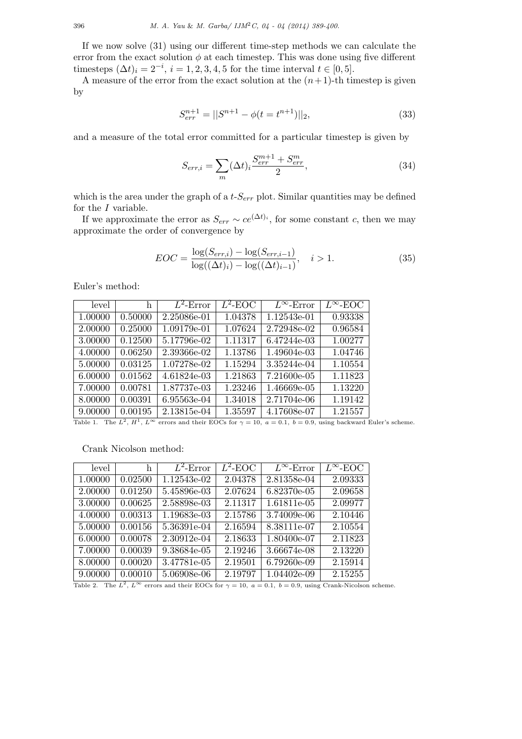If we now solve (31) using our different time-step methods we can calculate the error from the exact solution  $\phi$  at each timestep. This was done using five different timesteps  $(\Delta t)_i = 2^{-i}, i = 1, 2, 3, 4, 5$  for the time interval  $t \in [0, 5]$ .

A measure of the error from the exact solution at the  $(n+1)$ -th timestep is given by

$$
S_{err}^{n+1} = ||S^{n+1} - \phi(t = t^{n+1})||_2,\t\t(33)
$$

and a measure of the total error committed for a particular timestep is given by

$$
S_{err,i} = \sum_{m} (\Delta t)_i \frac{S_{err}^{m+1} + S_{err}^m}{2},\tag{34}
$$

which is the area under the graph of a  $t-S_{err}$  plot. Similar quantities may be defined for the *I* variable.

If we approximate the error as  $S_{err} \sim ce^{(\Delta t)_i}$ , for some constant *c*, then we may approximate the order of convergence by

$$
EOC = \frac{\log(S_{err,i}) - \log(S_{err,i-1})}{\log((\Delta t)_i) - \log((\Delta t)_{i-1})}, \quad i > 1.
$$
 (35)

Euler's method:

| level   | h       | $L^2$ -Error                                                                                                      | $L^2$ -EOC | $L^{\infty}$ -Error | $L^{\infty}$ -EOC |
|---------|---------|-------------------------------------------------------------------------------------------------------------------|------------|---------------------|-------------------|
| 1.00000 | 0.50000 | 2.25086e-01                                                                                                       | 1.04378    | 1.12543e-01         | 0.93338           |
| 2.00000 | 0.25000 | 1.09179e-01                                                                                                       | 1.07624    | 2.72948e-02         | 0.96584           |
| 3.00000 | 0.12500 | 5.17796e-02                                                                                                       | 1.11317    | 6.47244e-03         | 1.00277           |
| 4.00000 | 0.06250 | 2.39366e-02                                                                                                       | 1.13786    | 1.49604e-03         | 1.04746           |
| 5.00000 | 0.03125 | 1.07278e-02                                                                                                       | 1.15294    | 3.35244e-04         | 1.10554           |
| 6.00000 | 0.01562 | 4.61824e-03                                                                                                       | 1.21863    | 7.21600e-05         | 1.11823           |
| 7.00000 | 0.00781 | 1.87737e-03                                                                                                       | 1.23246    | 1.46669e-05         | 1.13220           |
| 8.00000 | 0.00391 | 6.95563e-04                                                                                                       | 1.34018    | 2.71704e-06         | 1.19142           |
| 9.00000 | 0.00195 | 2.13815e-04<br>$\pi$ 11 $\pi$ $\pi$ $\pi$ $\pi$ $\infty$ 11 $\pi$ $\infty$ 10 $\pi$ 01 $\pi$ 00 $\pi$ 11 $\pi$ 11 | 1.35597    | 4.17608e-07         | 1.21557           |

Table 1. The  $L^2$ ,  $H^1$ ,  $L^\infty$  errors and their EOCs for  $\gamma = 10$ ,  $a = 0.1$ ,  $b = 0.9$ , using backward Euler's scheme.

# Crank Nicolson method:

| level   | h       | $L^2$ -Error | $L^2$ -EOC | $\overline{L^{\infty}}$ -Error | $L^{\infty}$ -EOC |
|---------|---------|--------------|------------|--------------------------------|-------------------|
| 1.00000 | 0.02500 | 1.12543e-02  | 2.04378    | 2.81358e-04                    | 2.09333           |
| 2.00000 | 0.01250 | 5.45896e-03  | 2.07624    | 6.82370e-05                    | 2.09658           |
| 3.00000 | 0.00625 | 2.58898e-03  | 2.11317    | 1.61811e-05                    | 2.09977           |
| 4.00000 | 0.00313 | 1.19683e-03  | 2.15786    | 3.74009e-06                    | 2.10446           |
| 5.00000 | 0.00156 | 5.36391e-04  | 2.16594    | 8.38111e-07                    | 2.10554           |
| 6.00000 | 0.00078 | 2.30912e-04  | 2.18633    | 1.80400e-07                    | 2.11823           |
| 7.00000 | 0.00039 | 9.38684e-05  | 2.19246    | 3.66674e-08                    | 2.13220           |
| 8.00000 | 0.00020 | 3.47781e-05  | 2.19501    | 6.79260e-09                    | 2.15914           |
| 9.00000 | 0.00010 | 5.06908e-06  | 2.19797    | 1.04402e-09                    | 2.15255           |

Table 2. The  $L^2$ ,  $L^\infty$  errors and their EOCs for  $\gamma = 10$ ,  $a = 0.1$ ,  $b = 0.9$ , using Crank-Nicolson scheme.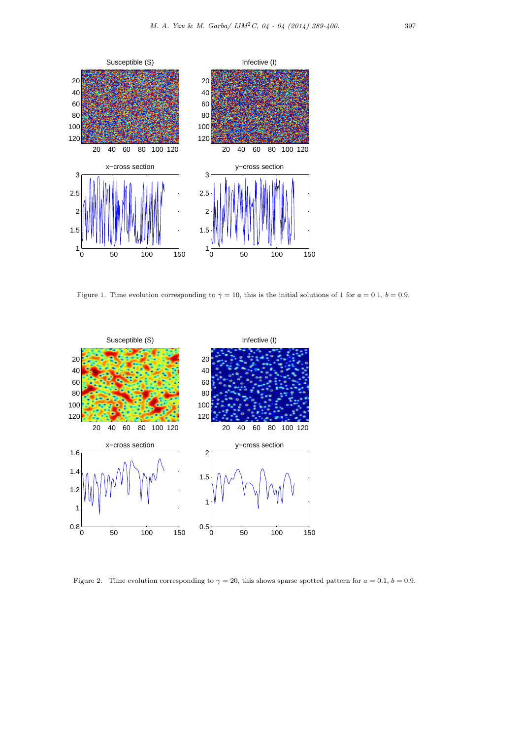

Figure 1. Time evolution corresponding to  $\gamma = 10$ , this is the initial solutions of 1 for  $a = 0.1$ ,  $b = 0.9$ .



Figure 2. Time evolution corresponding to  $\gamma = 20$ , this shows sparse spotted pattern for  $a = 0.1$ ,  $b = 0.9$ .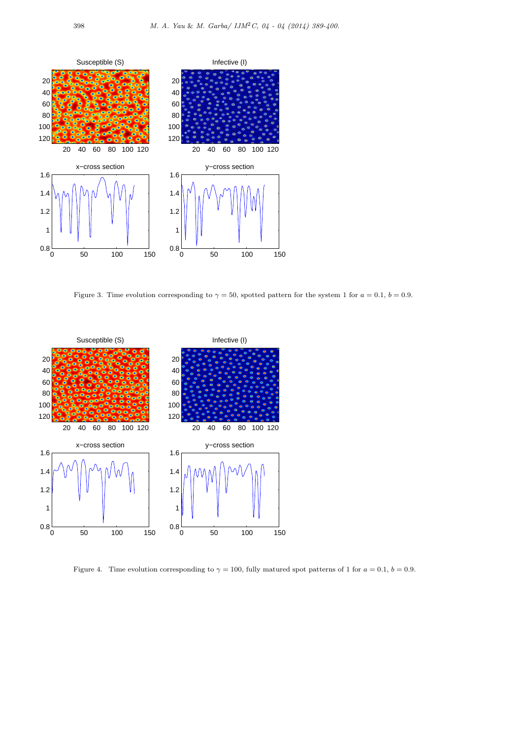

Figure 3. Time evolution corresponding to  $\gamma = 50$ , spotted pattern for the system 1 for  $a = 0.1$ ,  $b = 0.9$ .



Figure 4. Time evolution corresponding to  $\gamma = 100$ , fully matured spot patterns of 1 for  $a = 0.1$ ,  $b = 0.9$ .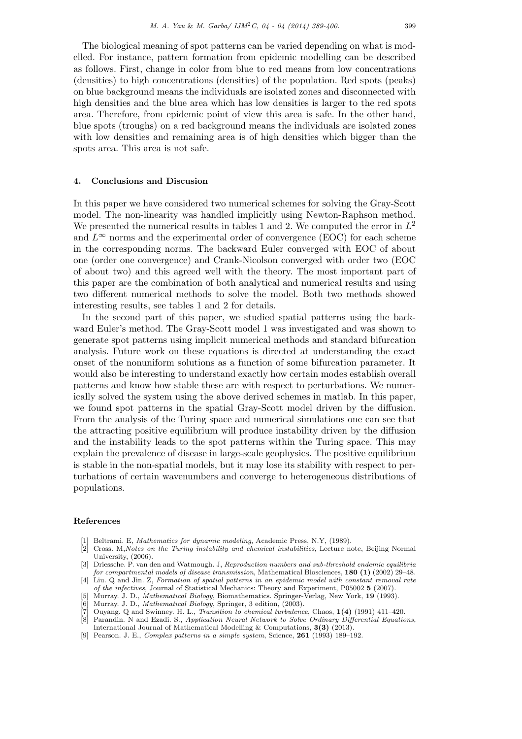The biological meaning of spot patterns can be varied depending on what is modelled. For instance, pattern formation from epidemic modelling can be described as follows. First, change in color from blue to red means from low concentrations (densities) to high concentrations (densities) of the population. Red spots (peaks) on blue background means the individuals are isolated zones and disconnected with high densities and the blue area which has low densities is larger to the red spots area. Therefore, from epidemic point of view this area is safe. In the other hand, blue spots (troughs) on a red background means the individuals are isolated zones with low densities and remaining area is of high densities which bigger than the spots area. This area is not safe.

### **4. Conclusions and Discusion**

In this paper we have considered two numerical schemes for solving the Gray-Scott model. The non-linearity was handled implicitly using Newton-Raphson method. We presented the numerical results in tables 1 and 2. We computed the error in *L* 2 and  $L^\infty$  norms and the experimental order of convergence (EOC) for each scheme in the corresponding norms. The backward Euler converged with EOC of about one (order one convergence) and Crank-Nicolson converged with order two (EOC of about two) and this agreed well with the theory. The most important part of this paper are the combination of both analytical and numerical results and using two different numerical methods to solve the model. Both two methods showed interesting results, see tables 1 and 2 for details.

In the second part of this paper, we studied spatial patterns using the backward Euler's method. The Gray-Scott model 1 was investigated and was shown to generate spot patterns using implicit numerical methods and standard bifurcation analysis. Future work on these equations is directed at understanding the exact onset of the nonuniform solutions as a function of some bifurcation parameter. It would also be interesting to understand exactly how certain modes establish overall patterns and know how stable these are with respect to perturbations. We numerically solved the system using the above derived schemes in matlab. In this paper, we found spot patterns in the spatial Gray-Scott model driven by the diffusion. From the analysis of the Turing space and numerical simulations one can see that the attracting positive equilibrium will produce instability driven by the diffusion and the instability leads to the spot patterns within the Turing space. This may explain the prevalence of disease in large-scale geophysics. The positive equilibrium is stable in the non-spatial models, but it may lose its stability with respect to perturbations of certain wavenumbers and converge to heterogeneous distributions of populations.

#### **References**

- [1] Beltrami. E, *Mathematics for dynamic modeling*, Academic Press, N.Y, (1989).
- [2] Cross. M,*Notes on the Turing instability and chemical instabilities*, Lecture note, Beijing Normal University, (2006).
- [3] Driessche. P. van den and Watmough. J, *Reproduction numbers and sub-threshold endemic equilibria for compartmental models of disease transmission*, Mathematical Biosciences, **180 (1)** (2002) 29–48.
- [4] Liu. Q and Jin. Z, *Formation of spatial patterns in an epidemic model with constant removal rate of the infectives*, Journal of Statistical Mechanics: Theory and Experiment, P05002 **5** (2007). [5] Murray. J. D., *Mathematical Biology*, Biomathematics. Springer-Verlag, New York, **19** (1993).
- [6] Murray. J. D., *Mathematical Biology*, Springer, 3 edition, (2003).
- [7] Ouyang. Q and Swinney. H. L., *Transition to chemical turbulence*, Chaos, **1(4)** (1991) 411–420.
- [8] Parandin. N and Ezadi. S., *Application Neural Network to Solve Ordinary Differential Equations*, International Journal of Mathematical Modelling & Computations, **3(3)** (2013).
- [9] Pearson. J. E., *Complex patterns in a simple system*, Science, **261** (1993) 189–192.